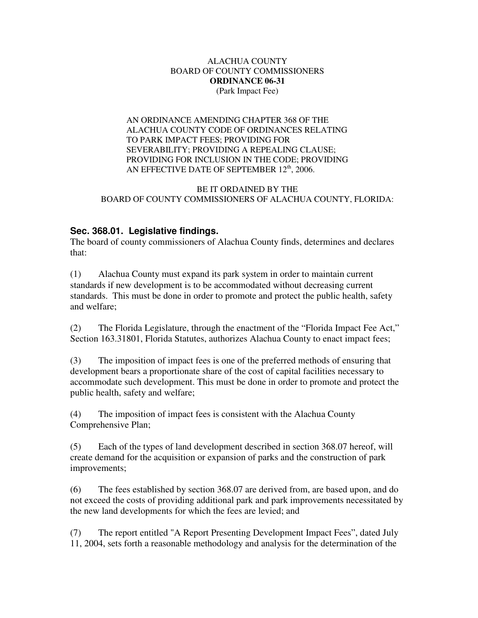#### ALACHUA COUNTY BOARD OF COUNTY COMMISSIONERS **ORDINANCE 06-31** (Park Impact Fee)

AN ORDINANCE AMENDING CHAPTER 368 OF THE ALACHUA COUNTY CODE OF ORDINANCES RELATING TO PARK IMPACT FEES; PROVIDING FOR SEVERABILITY; PROVIDING A REPEALING CLAUSE; PROVIDING FOR INCLUSION IN THE CODE; PROVIDING AN EFFECTIVE DATE OF SEPTEMBER  $12<sup>th</sup>$ , 2006.

### BE IT ORDAINED BY THE BOARD OF COUNTY COMMISSIONERS OF ALACHUA COUNTY, FLORIDA:

# **Sec. 368.01. Legislative findings.**

The board of county commissioners of Alachua County finds, determines and declares that:

(1) Alachua County must expand its park system in order to maintain current standards if new development is to be accommodated without decreasing current standards. This must be done in order to promote and protect the public health, safety and welfare;

(2) The Florida Legislature, through the enactment of the "Florida Impact Fee Act," Section 163.31801, Florida Statutes, authorizes Alachua County to enact impact fees;

(3) The imposition of impact fees is one of the preferred methods of ensuring that development bears a proportionate share of the cost of capital facilities necessary to accommodate such development. This must be done in order to promote and protect the public health, safety and welfare;

(4) The imposition of impact fees is consistent with the Alachua County Comprehensive Plan;

(5) Each of the types of land development described in section 368.07 hereof, will create demand for the acquisition or expansion of parks and the construction of park improvements;

(6) The fees established by section 368.07 are derived from, are based upon, and do not exceed the costs of providing additional park and park improvements necessitated by the new land developments for which the fees are levied; and

(7) The report entitled "A Report Presenting Development Impact Fees", dated July 11, 2004, sets forth a reasonable methodology and analysis for the determination of the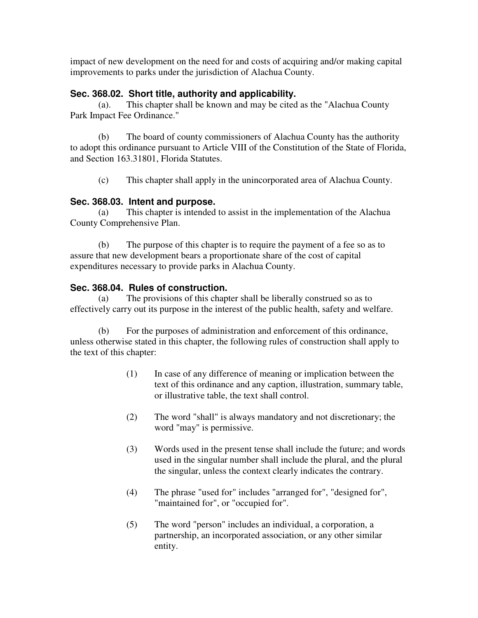impact of new development on the need for and costs of acquiring and/or making capital improvements to parks under the jurisdiction of Alachua County.

## **Sec. 368.02. Short title, authority and applicability.**

(a). This chapter shall be known and may be cited as the "Alachua County Park Impact Fee Ordinance."

(b) The board of county commissioners of Alachua County has the authority to adopt this ordinance pursuant to Article VIII of the Constitution of the State of Florida, and Section 163.31801, Florida Statutes.

(c) This chapter shall apply in the unincorporated area of Alachua County.

## **Sec. 368.03. Intent and purpose.**

(a) This chapter is intended to assist in the implementation of the Alachua County Comprehensive Plan.

(b) The purpose of this chapter is to require the payment of a fee so as to assure that new development bears a proportionate share of the cost of capital expenditures necessary to provide parks in Alachua County.

## **Sec. 368.04. Rules of construction.**

(a) The provisions of this chapter shall be liberally construed so as to effectively carry out its purpose in the interest of the public health, safety and welfare.

(b) For the purposes of administration and enforcement of this ordinance, unless otherwise stated in this chapter, the following rules of construction shall apply to the text of this chapter:

- (1) In case of any difference of meaning or implication between the text of this ordinance and any caption, illustration, summary table, or illustrative table, the text shall control.
- (2) The word "shall" is always mandatory and not discretionary; the word "may" is permissive.
- (3) Words used in the present tense shall include the future; and words used in the singular number shall include the plural, and the plural the singular, unless the context clearly indicates the contrary.
- (4) The phrase "used for" includes "arranged for", "designed for", "maintained for", or "occupied for".
- (5) The word "person" includes an individual, a corporation, a partnership, an incorporated association, or any other similar entity.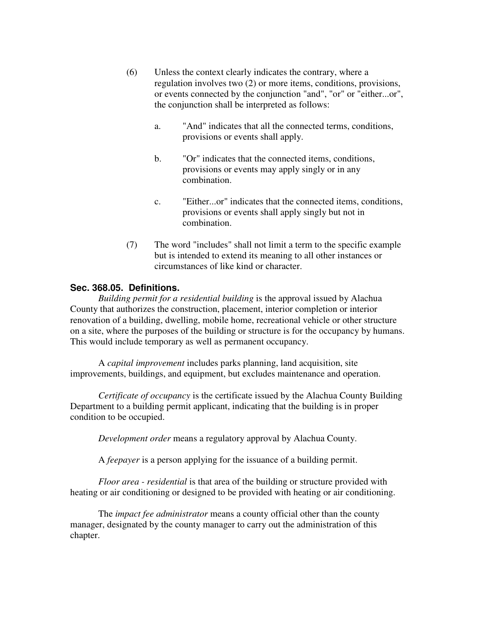- (6) Unless the context clearly indicates the contrary, where a regulation involves two (2) or more items, conditions, provisions, or events connected by the conjunction "and", "or" or "either...or", the conjunction shall be interpreted as follows:
	- a. "And" indicates that all the connected terms, conditions, provisions or events shall apply.
	- b. "Or" indicates that the connected items, conditions, provisions or events may apply singly or in any combination.
	- c. "Either...or" indicates that the connected items, conditions, provisions or events shall apply singly but not in combination.
- (7) The word "includes" shall not limit a term to the specific example but is intended to extend its meaning to all other instances or circumstances of like kind or character.

## **Sec. 368.05. Definitions.**

*Building permit for a residential building* is the approval issued by Alachua County that authorizes the construction, placement, interior completion or interior renovation of a building, dwelling, mobile home, recreational vehicle or other structure on a site, where the purposes of the building or structure is for the occupancy by humans. This would include temporary as well as permanent occupancy.

A *capital improvement* includes parks planning, land acquisition, site improvements, buildings, and equipment, but excludes maintenance and operation.

*Certificate of occupancy* is the certificate issued by the Alachua County Building Department to a building permit applicant, indicating that the building is in proper condition to be occupied.

*Development order* means a regulatory approval by Alachua County.

A *feepayer* is a person applying for the issuance of a building permit.

*Floor area - residential* is that area of the building or structure provided with heating or air conditioning or designed to be provided with heating or air conditioning.

The *impact fee administrator* means a county official other than the county manager, designated by the county manager to carry out the administration of this chapter.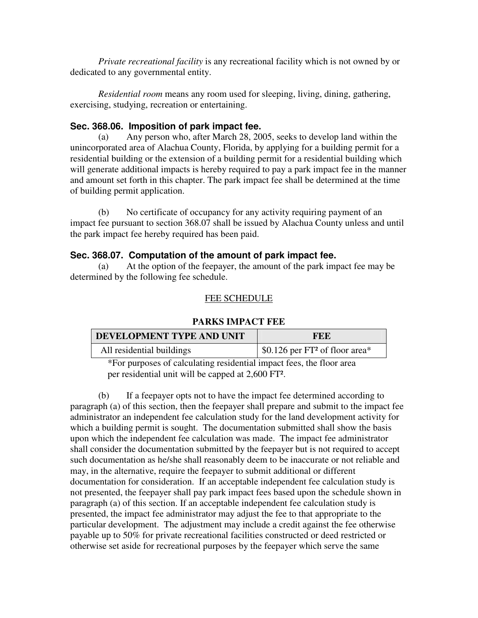*Private recreational facility* is any recreational facility which is not owned by or dedicated to any governmental entity.

*Residential room* means any room used for sleeping, living, dining, gathering, exercising, studying, recreation or entertaining.

## **Sec. 368.06. Imposition of park impact fee.**

(a) Any person who, after March 28, 2005, seeks to develop land within the unincorporated area of Alachua County, Florida, by applying for a building permit for a residential building or the extension of a building permit for a residential building which will generate additional impacts is hereby required to pay a park impact fee in the manner and amount set forth in this chapter. The park impact fee shall be determined at the time of building permit application.

(b) No certificate of occupancy for any activity requiring payment of an impact fee pursuant to section 368.07 shall be issued by Alachua County unless and until the park impact fee hereby required has been paid.

### **Sec. 368.07. Computation of the amount of park impact fee.**

(a) At the option of the feepayer, the amount of the park impact fee may be determined by the following fee schedule.

## FEE SCHEDULE

### **PARKS IMPACT FEE**

| <b>DEVELOPMENT TYPE AND UNIT</b> | FEE                                                      |
|----------------------------------|----------------------------------------------------------|
| All residential buildings        | $\frac{1}{2}$ \$0.126 per FT <sup>2</sup> of floor area* |

\*For purposes of calculating residential impact fees, the floor area per residential unit will be capped at 2,600 FT².

(b) If a feepayer opts not to have the impact fee determined according to paragraph (a) of this section, then the feepayer shall prepare and submit to the impact fee administrator an independent fee calculation study for the land development activity for which a building permit is sought. The documentation submitted shall show the basis upon which the independent fee calculation was made. The impact fee administrator shall consider the documentation submitted by the feepayer but is not required to accept such documentation as he/she shall reasonably deem to be inaccurate or not reliable and may, in the alternative, require the feepayer to submit additional or different documentation for consideration. If an acceptable independent fee calculation study is not presented, the feepayer shall pay park impact fees based upon the schedule shown in paragraph (a) of this section. If an acceptable independent fee calculation study is presented, the impact fee administrator may adjust the fee to that appropriate to the particular development. The adjustment may include a credit against the fee otherwise payable up to 50% for private recreational facilities constructed or deed restricted or otherwise set aside for recreational purposes by the feepayer which serve the same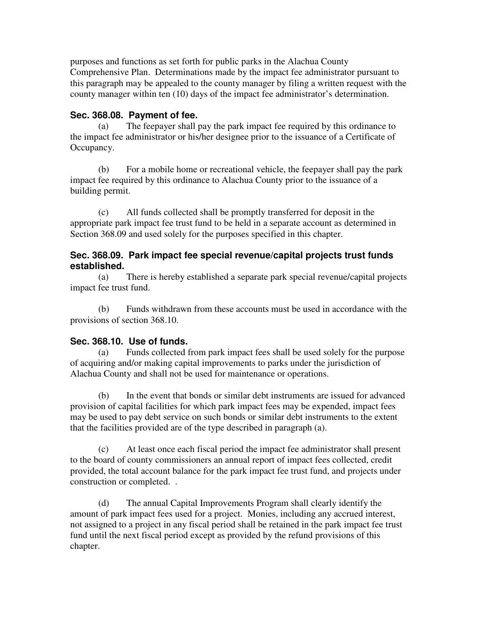purposes and functions as set forth for public parks in the Alachua County Comprehensive Plan. Determinations made by the impact fee administrator pursuant to this paragraph may be appealed to the county manager by filing a written request with the county manager within ten (10) days of the impact fee administrator's determination.

# **Sec. 368.08. Payment of fee.**

(a) The feepayer shall pay the park impact fee required by this ordinance to the impact fee administrator or his/her designee prior to the issuance of a Certificate of Occupancy.

(b) For a mobile home or recreational vehicle, the feepayer shall pay the park impact fee required by this ordinance to Alachua County prior to the issuance of a building permit.

(c) All funds collected shall be promptly transferred for deposit in the appropriate park impact fee trust fund to be held in a separate account as determined in Section 368.09 and used solely for the purposes specified in this chapter.

## **Sec. 368.09. Park impact fee special revenue/capital projects trust funds established.**

(a) There is hereby established a separate park special revenue/capital projects impact fee trust fund.

(b) Funds withdrawn from these accounts must be used in accordance with the provisions of section 368.10.

## **Sec. 368.10. Use of funds.**

(a) Funds collected from park impact fees shall be used solely for the purpose of acquiring and/or making capital improvements to parks under the jurisdiction of Alachua County and shall not be used for maintenance or operations.

(b) In the event that bonds or similar debt instruments are issued for advanced provision of capital facilities for which park impact fees may be expended, impact fees may be used to pay debt service on such bonds or similar debt instruments to the extent that the facilities provided are of the type described in paragraph (a).

(c) At least once each fiscal period the impact fee administrator shall present to the board of county commissioners an annual report of impact fees collected, credit provided, the total account balance for the park impact fee trust fund, and projects under construction or completed. .

(d) The annual Capital Improvements Program shall clearly identify the amount of park impact fees used for a project. Monies, including any accrued interest, not assigned to a project in any fiscal period shall be retained in the park impact fee trust fund until the next fiscal period except as provided by the refund provisions of this chapter.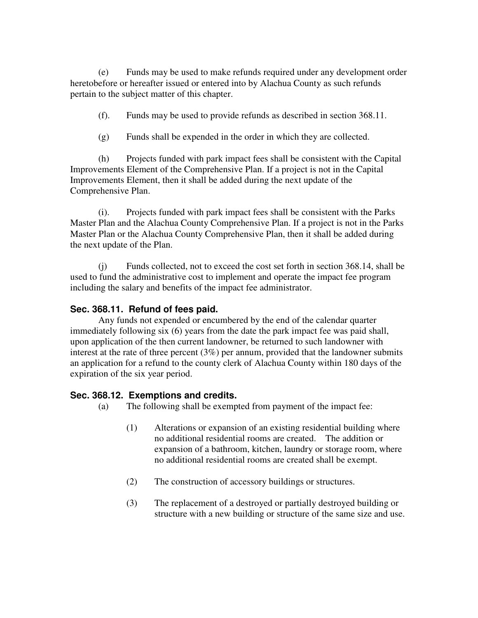(e) Funds may be used to make refunds required under any development order heretobefore or hereafter issued or entered into by Alachua County as such refunds pertain to the subject matter of this chapter.

- (f). Funds may be used to provide refunds as described in section 368.11.
- (g) Funds shall be expended in the order in which they are collected.

(h) Projects funded with park impact fees shall be consistent with the Capital Improvements Element of the Comprehensive Plan. If a project is not in the Capital Improvements Element, then it shall be added during the next update of the Comprehensive Plan.

(i). Projects funded with park impact fees shall be consistent with the Parks Master Plan and the Alachua County Comprehensive Plan. If a project is not in the Parks Master Plan or the Alachua County Comprehensive Plan, then it shall be added during the next update of the Plan.

(j) Funds collected, not to exceed the cost set forth in section 368.14, shall be used to fund the administrative cost to implement and operate the impact fee program including the salary and benefits of the impact fee administrator.

### **Sec. 368.11. Refund of fees paid.**

Any funds not expended or encumbered by the end of the calendar quarter immediately following six (6) years from the date the park impact fee was paid shall, upon application of the then current landowner, be returned to such landowner with interest at the rate of three percent (3%) per annum, provided that the landowner submits an application for a refund to the county clerk of Alachua County within 180 days of the expiration of the six year period.

### **Sec. 368.12. Exemptions and credits.**

- (a) The following shall be exempted from payment of the impact fee:
	- (1) Alterations or expansion of an existing residential building where no additional residential rooms are created. The addition or expansion of a bathroom, kitchen, laundry or storage room, where no additional residential rooms are created shall be exempt.
	- (2) The construction of accessory buildings or structures.
	- (3) The replacement of a destroyed or partially destroyed building or structure with a new building or structure of the same size and use.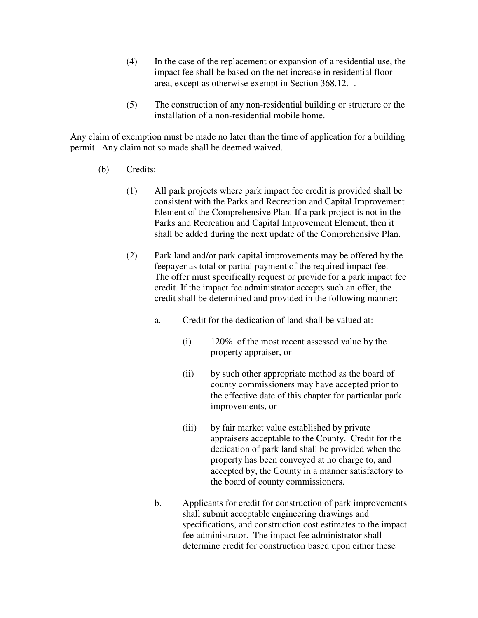- (4) In the case of the replacement or expansion of a residential use, the impact fee shall be based on the net increase in residential floor area, except as otherwise exempt in Section 368.12. .
- (5) The construction of any non-residential building or structure or the installation of a non-residential mobile home.

Any claim of exemption must be made no later than the time of application for a building permit. Any claim not so made shall be deemed waived.

- (b) Credits:
	- (1) All park projects where park impact fee credit is provided shall be consistent with the Parks and Recreation and Capital Improvement Element of the Comprehensive Plan. If a park project is not in the Parks and Recreation and Capital Improvement Element, then it shall be added during the next update of the Comprehensive Plan.
	- (2) Park land and/or park capital improvements may be offered by the feepayer as total or partial payment of the required impact fee. The offer must specifically request or provide for a park impact fee credit. If the impact fee administrator accepts such an offer, the credit shall be determined and provided in the following manner:
		- a. Credit for the dedication of land shall be valued at:
			- (i) 120% of the most recent assessed value by the property appraiser, or
			- (ii) by such other appropriate method as the board of county commissioners may have accepted prior to the effective date of this chapter for particular park improvements, or
			- (iii) by fair market value established by private appraisers acceptable to the County. Credit for the dedication of park land shall be provided when the property has been conveyed at no charge to, and accepted by, the County in a manner satisfactory to the board of county commissioners.
		- b. Applicants for credit for construction of park improvements shall submit acceptable engineering drawings and specifications, and construction cost estimates to the impact fee administrator. The impact fee administrator shall determine credit for construction based upon either these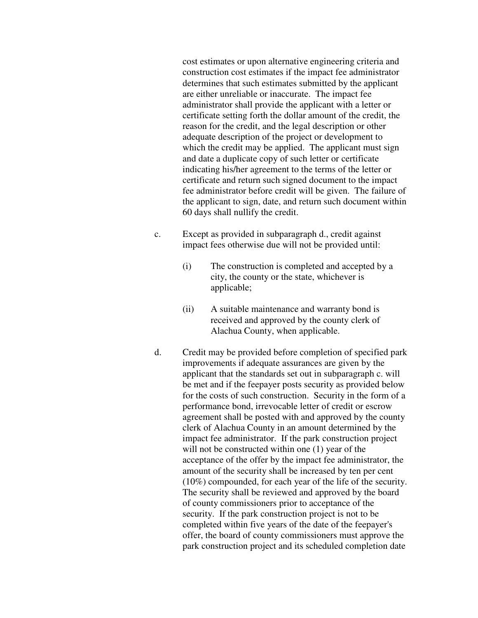cost estimates or upon alternative engineering criteria and construction cost estimates if the impact fee administrator determines that such estimates submitted by the applicant are either unreliable or inaccurate. The impact fee administrator shall provide the applicant with a letter or certificate setting forth the dollar amount of the credit, the reason for the credit, and the legal description or other adequate description of the project or development to which the credit may be applied. The applicant must sign and date a duplicate copy of such letter or certificate indicating his/her agreement to the terms of the letter or certificate and return such signed document to the impact fee administrator before credit will be given. The failure of the applicant to sign, date, and return such document within 60 days shall nullify the credit.

- c. Except as provided in subparagraph d., credit against impact fees otherwise due will not be provided until:
	- (i) The construction is completed and accepted by a city, the county or the state, whichever is applicable;
	- (ii) A suitable maintenance and warranty bond is received and approved by the county clerk of Alachua County, when applicable.
- d. Credit may be provided before completion of specified park improvements if adequate assurances are given by the applicant that the standards set out in subparagraph c. will be met and if the feepayer posts security as provided below for the costs of such construction. Security in the form of a performance bond, irrevocable letter of credit or escrow agreement shall be posted with and approved by the county clerk of Alachua County in an amount determined by the impact fee administrator. If the park construction project will not be constructed within one  $(1)$  year of the acceptance of the offer by the impact fee administrator, the amount of the security shall be increased by ten per cent (10%) compounded, for each year of the life of the security. The security shall be reviewed and approved by the board of county commissioners prior to acceptance of the security. If the park construction project is not to be completed within five years of the date of the feepayer's offer, the board of county commissioners must approve the park construction project and its scheduled completion date